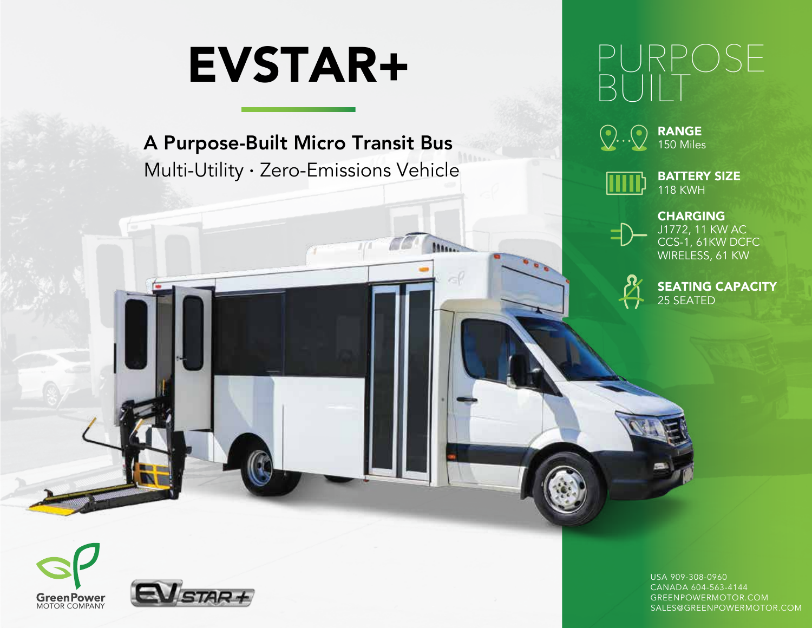# EVSTAR+

A Purpose-Built Micro Transit Bus Multi-Utility · Zero-Emissions Vehicle

Mass.

## PURPOSE BUILT







**CHARGING** CCS-1, 61KW DCFC WIRELESS, 61 KW J1772, 11 KW AC



SEATING CAPACITY 25 SEATED





USA 909-308-0960 CANADA 604-563-4144 GREENPOWERMOTOR.COM SALES@GREENPOWERMOTOR.COM